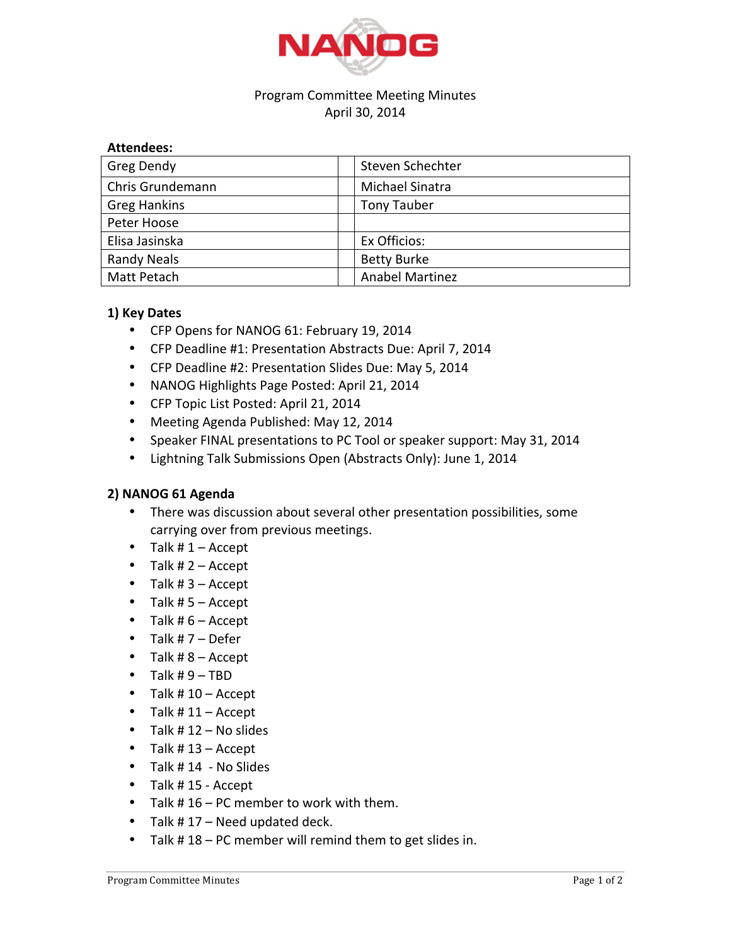

## Program Committee Meeting Minutes April 30, 2014

| Greg Dendy          | Steven Schechter       |
|---------------------|------------------------|
| Chris Grundemann    | Michael Sinatra        |
| <b>Greg Hankins</b> | <b>Tony Tauber</b>     |
| Peter Hoose         |                        |
| Elisa Jasinska      | Ex Officios:           |
| <b>Randy Neals</b>  | <b>Betty Burke</b>     |
| Matt Petach         | <b>Anabel Martinez</b> |

## **1) Key Dates**

- CFP Opens for NANOG 61: February 19, 2014
- CFP Deadline #1: Presentation Abstracts Due: April 7, 2014
- CFP Deadline #2: Presentation Slides Due: May 5, 2014
- NANOG Highlights Page Posted: April 21, 2014
- CFP Topic List Posted: April 21, 2014
- Meeting Agenda Published: May 12, 2014
- Speaker FINAL presentations to PC Tool or speaker support: May 31, 2014
- Lightning Talk Submissions Open (Abstracts Only): June 1, 2014

## 2) NANOG 61 Agenda

- There was discussion about several other presentation possibilities, some carrying over from previous meetings.
- Talk  $# 1 -$  Accept
- Talk  $# 2 -$  Accept
- Talk  $#3 -$  Accept
- Talk  $# 5 -$  Accept
- Talk  $# 6 -$  Accept
- Talk  $#7 -$  Defer
- Talk  $#8 -$  Accept
- Talk  $#9 TBD$
- Talk  $# 10 -$  Accept
- Talk  $# 11 -$  Accept
- Talk  $# 12 No$  slides
- Talk  $# 13 -$  Accept
- Talk  $# 14 No$  Slides
- Talk  $#$  15 Accept
- Talk  $# 16 PC$  member to work with them.
- Talk  $# 17 -$  Need updated deck.
- Talk  $# 18 PC$  member will remind them to get slides in.